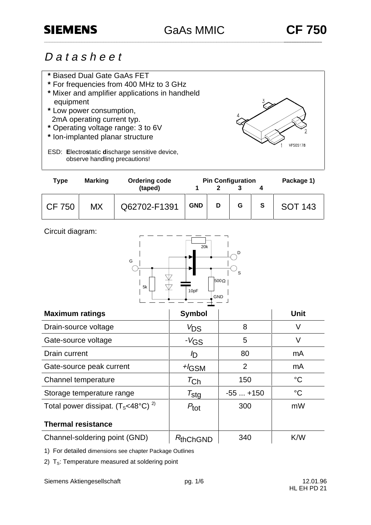VPS05178

# D a t a s h e e t

- **\*** Biased Dual Gate GaAs FET
- **\*** For frequencies from 400 MHz to 3 GHz
- **\*** Mixer and amplifier applications in handheld equipment
- **\*** Low power consumption, 2mA operating current typ.
- **\*** Operating voltage range: 3 to 6V
- **\*** Ion-implanted planar structure
- ESD: **E**lectro**s**tatic **d**ischarge sensitive device, observe handling precautions!

| <b>Type</b>   | <b>Marking</b> | <b>Ordering code</b> |            | <b>Pin Configuration</b> | Package 1) |   |                |
|---------------|----------------|----------------------|------------|--------------------------|------------|---|----------------|
|               |                | (taped)              |            |                          |            |   |                |
| <b>CF 750</b> | МX             | Q62702-F1391         | <b>GND</b> | D                        | G          | S | <b>SOT 143</b> |

|  | Circuit diagram: |
|--|------------------|
|--|------------------|



| <b>Maximum ratings</b>                        | <b>Symbol</b>         |                | <b>Unit</b>     |
|-----------------------------------------------|-----------------------|----------------|-----------------|
| Drain-source voltage                          | $V_{DS}$              | 8              | V               |
| Gate-source voltage                           | $-V$ GS               | 5              | V               |
| Drain current                                 | D                     | 80             | mA              |
| Gate-source peak current                      | $H_{\text{GSM}}$      | $\overline{2}$ | mA              |
| Channel temperature                           | $\tau_{\mathsf{Ch}}$  | 150            | $\rm ^{\circ}C$ |
| Storage temperature range                     | $\tau_{\textsf{stg}}$ | $-55+150$      | $^{\circ}C$     |
| Total power dissipat. $(T_s<48^{\circ}C)^{2}$ | $P_{\text{tot}}$      | 300            | mW              |
| <b>Thermal resistance</b>                     |                       |                |                 |
| Channel-soldering point (GND)                 | $R_{\text{thChGND}}$  | 340            | K/W             |

1) For detailed dimensions see chapter Package Outlines

2)  $T_s$ : Temperature measured at soldering point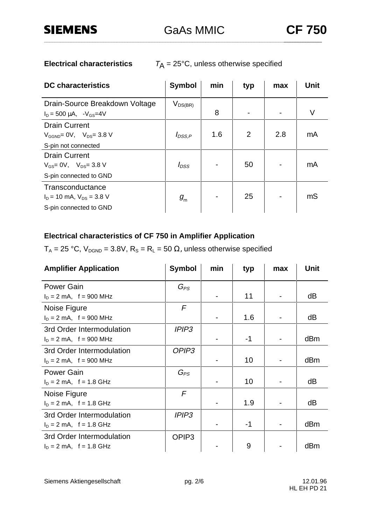**Electrical characteristics**  $T_A = 25^{\circ}$ C, unless otherwise specified

| <b>DC</b> characteristics                        | <b>Symbol</b> | min | typ | max | <b>Unit</b>    |
|--------------------------------------------------|---------------|-----|-----|-----|----------------|
| Drain-Source Breakdown Voltage                   | $V_{DS(BR)}$  |     |     |     |                |
| $I_D = 500 \mu A$ , $-V_{GS} = 4V$               |               | 8   |     |     | V              |
| <b>Drain Current</b>                             |               |     |     |     |                |
| $V_{\text{GGND}} = 0V$ , $V_{\text{DS}} = 3.8 V$ | $I_{DSS,P}$   | 1.6 | 2   | 2.8 | mA             |
| S-pin not connected                              |               |     |     |     |                |
| <b>Drain Current</b>                             |               |     |     |     |                |
| $V_{GS} = 0V$ , $V_{DS} = 3.8 V$                 | $I_{DSS}$     |     | 50  |     | mA             |
| S-pin connected to GND                           |               |     |     |     |                |
| Transconductance                                 |               |     |     |     |                |
| $I_D = 10$ mA, $V_{DS} = 3.8$ V                  | $g_{\rm m}$   |     | 25  |     | m <sub>S</sub> |
| S-pin connected to GND                           |               |     |     |     |                |

# **Electrical characteristics of CF 750 in Amplifier Application**

 $T_A = 25 °C$ ,  $V_{DGND} = 3.8 V$ ,  $R_S = R_L = 50 \Omega$ , unless otherwise specified

| <b>Amplifier Application</b> | <b>Symbol</b>     | min | typ  | max | <b>Unit</b> |
|------------------------------|-------------------|-----|------|-----|-------------|
| <b>Power Gain</b>            | $G_{PS}$          |     |      |     |             |
| $I_D = 2$ mA, f = 900 MHz    |                   |     | 11   |     | dB          |
| Noise Figure                 | $\sqrt{F}$        |     |      |     |             |
| $I_D = 2$ mA, f = 900 MHz    |                   |     | 1.6  |     | dB          |
| 3rd Order Intermodulation    | <b>IPIP3</b>      |     |      |     |             |
| $I_D = 2$ mA, f = 900 MHz    |                   |     | $-1$ |     | dBm         |
| 3rd Order Intermodulation    | OPIP <sub>3</sub> |     |      |     |             |
| $I_D = 2$ mA, f = 900 MHz    |                   |     | 10   |     | dBm         |
| <b>Power Gain</b>            | $G_{PS}$          |     |      |     |             |
| $I_D = 2$ mA, f = 1.8 GHz    |                   |     | 10   |     | dB          |
| Noise Figure                 | $\mathcal{F}$     |     |      |     |             |
| $I_D = 2$ mA, f = 1.8 GHz    |                   |     | 1.9  |     | dB          |
| 3rd Order Intermodulation    | <b>IPIP3</b>      |     |      |     |             |
| $I_D = 2$ mA, f = 1.8 GHz    |                   |     | -1   |     | dBm         |
| 3rd Order Intermodulation    | OPIP <sub>3</sub> |     |      |     |             |
| $I_D = 2$ mA, f = 1.8 GHz    |                   |     | 9    |     | dBm         |

Siemens Aktiengesellschaft pg. 2/6 12.01.96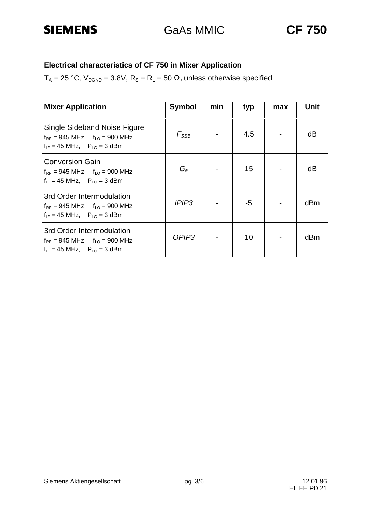# **Electrical characteristics of CF 750 in Mixer Application**

 $T_A = 25 °C$ ,  $V_{DGND} = 3.8 V$ ,  $R_S = R_L = 50 \Omega$ , unless otherwise specified

| <b>Mixer Application</b>                                                                                                    | <b>Symbol</b>     | min | typ | max | Unit |
|-----------------------------------------------------------------------------------------------------------------------------|-------------------|-----|-----|-----|------|
| Single Sideband Noise Figure<br>$f_{RF}$ = 945 MHz, $f_{LO}$ = 900 MHz<br>$f_{IF} = 45 \text{ MHz}, P_{LO} = 3 \text{ dBm}$ | $F_{\rm SSB}$     |     | 4.5 |     | dB   |
| <b>Conversion Gain</b><br>$f_{RF}$ = 945 MHz, $f_{LO}$ = 900 MHz<br>$f_{IF} = 45 \text{ MHz}, P_{LO} = 3 \text{ dBm}$       | $G_a$             |     | 15  |     | dB   |
| 3rd Order Intermodulation<br>$f_{RF}$ = 945 MHz, $f_{LO}$ = 900 MHz<br>$f_{IF} = 45 \text{ MHz}, P_{LO} = 3 \text{ dBm}$    | <b>IPIP3</b>      |     | -5  |     | dBm  |
| 3rd Order Intermodulation<br>$f_{RF}$ = 945 MHz, $f_{LO}$ = 900 MHz<br>$f_{IF} = 45 \text{ MHz}, P_{LO} = 3 \text{ dBm}$    | OPIP <sub>3</sub> |     | 10  |     | dBm  |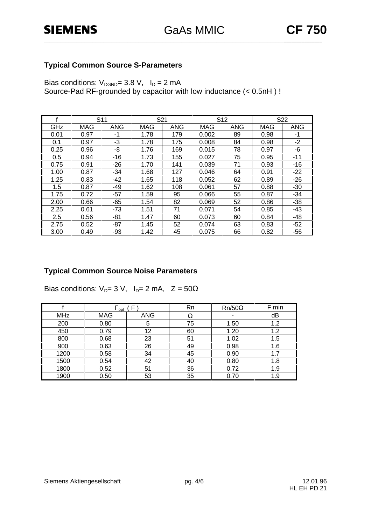### **Typical Common Source S-Parameters**

Bias conditions:  $V_{DGND} = 3.8 V$ ,  $I_D = 2 mA$ Source-Pad RF-grounded by capacitor with low inductance (< 0.5nH ) !

|      | S <sub>11</sub> |            | S21  |            | S <sub>12</sub> |            |      | S <sub>22</sub> |
|------|-----------------|------------|------|------------|-----------------|------------|------|-----------------|
| GHz  | <b>MAG</b>      | <b>ANG</b> | MAG  | <b>ANG</b> | MAG             | <b>ANG</b> | MAG  | <b>ANG</b>      |
| 0.01 | 0.97            | -1         | 1.78 | 179        | 0.002           | 89         | 0.98 | -1              |
| 0.1  | 0.97            | -3         | 1.78 | 175        | 0.008           | 84         | 0.98 | -2              |
| 0.25 | 0.96            | -8         | 1.76 | 169        | 0.015           | 78         | 0.97 | -6              |
| 0.5  | 0.94            | $-16$      | 1.73 | 155        | 0.027           | 75         | 0.95 | $-11$           |
| 0.75 | 0.91            | $-26$      | 1.70 | 141        | 0.039           | 71         | 0.93 | -16             |
| 1.00 | 0.87            | -34        | 1.68 | 127        | 0.046           | 64         | 0.91 | $-22$           |
| 1.25 | 0.83            | -42        | 1.65 | 118        | 0.052           | 62         | 0.89 | $-26$           |
| 1.5  | 0.87            | -49        | 1.62 | 108        | 0.061           | 57         | 0.88 | $-30$           |
| 1.75 | 0.72            | $-57$      | 1.59 | 95         | 0.066           | 55         | 0.87 | $-34$           |
| 2.00 | 0.66            | $-65$      | 1.54 | 82         | 0.069           | 52         | 0.86 | $-38$           |
| 2.25 | 0.61            | $-73$      | 1.51 | 71         | 0.071           | 54         | 0.85 | -43             |
| 2.5  | 0.56            | -81        | 1.47 | 60         | 0.073           | 60         | 0.84 | -48             |
| 2.75 | 0.52            | $-87$      | 1.45 | 52         | 0.074           | 63         | 0.83 | $-52$           |
| 3.00 | 0.49            | -93        | 1.42 | 45         | 0.075           | 66         | 0.82 | $-56$           |

## **Typical Common Source Noise Parameters**

Bias conditions:  $V_D= 3 V$ ,  $I_D= 2 mA$ ,  $Z= 50\Omega$ 

|            | opt        |            | Rn | $Rn/50\Omega$ | F min |
|------------|------------|------------|----|---------------|-------|
| <b>MHz</b> | <b>MAG</b> | <b>ANG</b> | Ω  |               | dB    |
| 200        | 0.80       | 5          | 75 | 1.50          | 1.2   |
| 450        | 0.79       | 12         | 60 | 1.20          | 1.2   |
| 800        | 0.68       | 23         | 51 | 1.02          | 1.5   |
| 900        | 0.63       | 26         | 49 | 0.98          | 1.6   |
| 1200       | 0.58       | 34         | 45 | 0.90          | 1.7   |
| 1500       | 0.54       | 42         | 40 | 0.80          | 1.8   |
| 1800       | 0.52       | 51         | 36 | 0.72          | 1.9   |
| 1900       | 0.50       | 53         | 35 | 0.70          | 1.9   |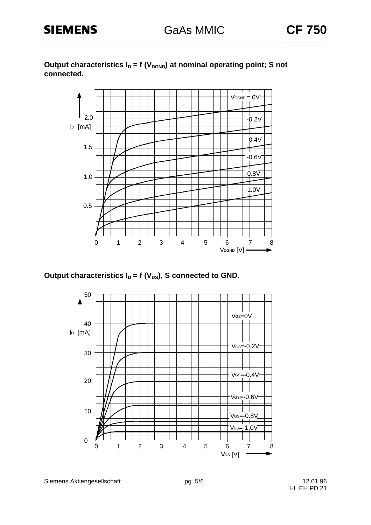Output characteristics  $I_D = f (V_{DGND})$  at nominal operating point; S not **connected.**



Output characteristics  $I_D = f (V_{DS})$ , S connected to GND.



Siemens Aktiengesellschaft pg. 5/6 12.01.96